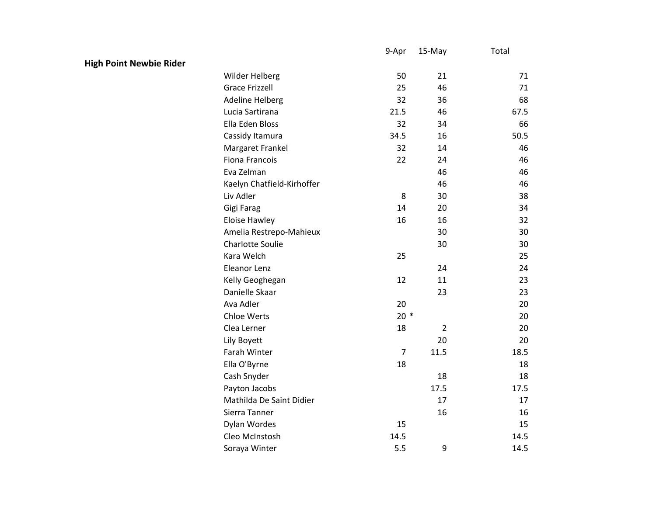|                                |                            | 9-Apr          | 15-May         | Total |
|--------------------------------|----------------------------|----------------|----------------|-------|
| <b>High Point Newbie Rider</b> |                            |                |                |       |
|                                | Wilder Helberg             | 50             | 21             | 71    |
|                                | <b>Grace Frizzell</b>      | 25             | 46             | 71    |
|                                | <b>Adeline Helberg</b>     | 32             | 36             | 68    |
|                                | Lucia Sartirana            | 21.5           | 46             | 67.5  |
|                                | Ella Eden Bloss            | 32             | 34             | 66    |
|                                | Cassidy Itamura            | 34.5           | 16             | 50.5  |
|                                | Margaret Frankel           | 32             | 14             | 46    |
|                                | <b>Fiona Francois</b>      | 22             | 24             | 46    |
|                                | Eva Zelman                 |                | 46             | 46    |
|                                | Kaelyn Chatfield-Kirhoffer |                | 46             | 46    |
|                                | Liv Adler                  | 8              | 30             | 38    |
|                                | Gigi Farag                 | 14             | 20             | 34    |
|                                | <b>Eloise Hawley</b>       | 16             | 16             | 32    |
|                                | Amelia Restrepo-Mahieux    |                | 30             | 30    |
|                                | <b>Charlotte Soulie</b>    |                | 30             | 30    |
|                                | Kara Welch                 | 25             |                | 25    |
|                                | Eleanor Lenz               |                | 24             | 24    |
|                                | Kelly Geoghegan            | 12             | 11             | 23    |
|                                | Danielle Skaar             |                | 23             | 23    |
|                                | Ava Adler                  | 20             |                | 20    |
|                                | Chloe Werts                | $20*$          |                | 20    |
|                                | Clea Lerner                | 18             | $\overline{2}$ | 20    |
|                                | Lily Boyett                |                | 20             | 20    |
|                                | Farah Winter               | $\overline{7}$ | 11.5           | 18.5  |
|                                | Ella O'Byrne               | 18             |                | 18    |
|                                | Cash Snyder                |                | 18             | 18    |
|                                | Payton Jacobs              |                | 17.5           | 17.5  |
|                                | Mathilda De Saint Didier   |                | 17             | 17    |
|                                | Sierra Tanner              |                | 16             | 16    |
|                                | Dylan Wordes               | 15             |                | 15    |
|                                | Cleo McInstosh             | 14.5           |                | 14.5  |
|                                | Soraya Winter              | 5.5            | 9              | 14.5  |